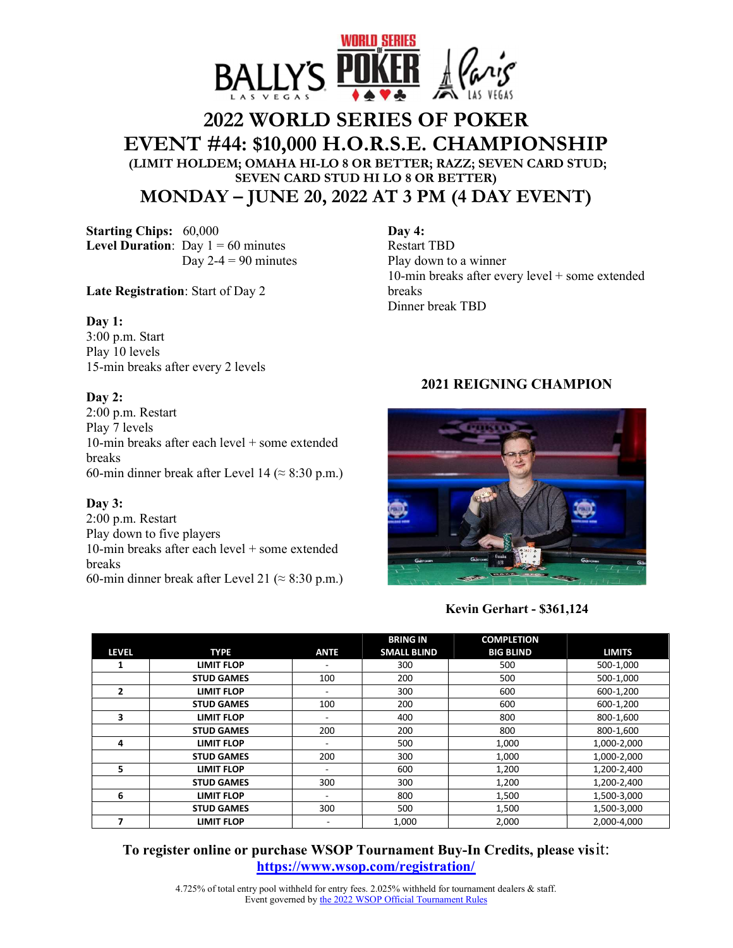

# **2022 WORLD SERIES OF POKER EVENT #44: \$10,000 H.O.R.S.E. CHAMPIONSHIP (LIMIT HOLDEM; OMAHA HI-LO 8 OR BETTER; RAZZ; SEVEN CARD STUD; SEVEN CARD STUD HI LO 8 OR BETTER) MONDAY – JUNE 20, 2022 AT 3 PM (4 DAY EVENT)**

**Starting Chips:** 60,000 **Level Duration**: Day  $1 = 60$  minutes Day  $2-4 = 90$  minutes

**Late Registration**: Start of Day 2

#### **Day 1:**

3:00 p.m. Start Play 10 levels 15-min breaks after every 2 levels

#### **Day 2:**

2:00 p.m. Restart Play 7 levels 10-min breaks after each level + some extended breaks 60-min dinner break after Level 14 ( $\approx$  8:30 p.m.)

#### **Day 3:**

2:00 p.m. Restart Play down to five players 10-min breaks after each level + some extended breaks 60-min dinner break after Level 21 ( $\approx$  8:30 p.m.)

# **Day 4:**  Restart TBD

Play down to a winner 10-min breaks after every level + some extended breaks Dinner break TBD

## **2021 REIGNING CHAMPION**



### **Kevin Gerhart - \$361,124**

|              |                   |                          | <b>BRING IN</b>    | <b>COMPLETION</b> |               |
|--------------|-------------------|--------------------------|--------------------|-------------------|---------------|
| <b>LEVEL</b> | <b>TYPE</b>       | <b>ANTE</b>              | <b>SMALL BLIND</b> | <b>BIG BLIND</b>  | <b>LIMITS</b> |
|              | <b>LIMIT FLOP</b> | ٠                        | 300                | 500               | 500-1,000     |
|              | <b>STUD GAMES</b> | 100                      | 200                | 500               | 500-1,000     |
| 2            | <b>LIMIT FLOP</b> | ٠.                       | 300                | 600               | 600-1,200     |
|              | <b>STUD GAMES</b> | 100                      | 200                | 600               | 600-1,200     |
| 3            | <b>LIMIT FLOP</b> | ۰                        | 400                | 800               | 800-1,600     |
|              | <b>STUD GAMES</b> | 200                      | 200                | 800               | 800-1,600     |
| 4            | <b>LIMIT FLOP</b> | -                        | 500                | 1,000             | 1,000-2,000   |
|              | <b>STUD GAMES</b> | 200                      | 300                | 1,000             | 1,000-2,000   |
| 5            | <b>LIMIT FLOP</b> | ۰                        | 600                | 1,200             | 1,200-2,400   |
|              | <b>STUD GAMES</b> | 300                      | 300                | 1,200             | 1,200-2,400   |
| 6            | <b>LIMIT FLOP</b> | $\overline{\phantom{a}}$ | 800                | 1,500             | 1,500-3,000   |
|              | <b>STUD GAMES</b> | 300                      | 500                | 1,500             | 1,500-3,000   |
|              | <b>LIMIT FLOP</b> |                          | 1,000              | 2,000             | 2,000-4,000   |

**To register online or purchase WSOP Tournament Buy-In Credits, please vis**it: **https://www.wsop.com/registration/**

> 4.725% of total entry pool withheld for entry fees. 2.025% withheld for tournament dealers & staff. Event governed by the 2022 WSOP Official Tournament Rules